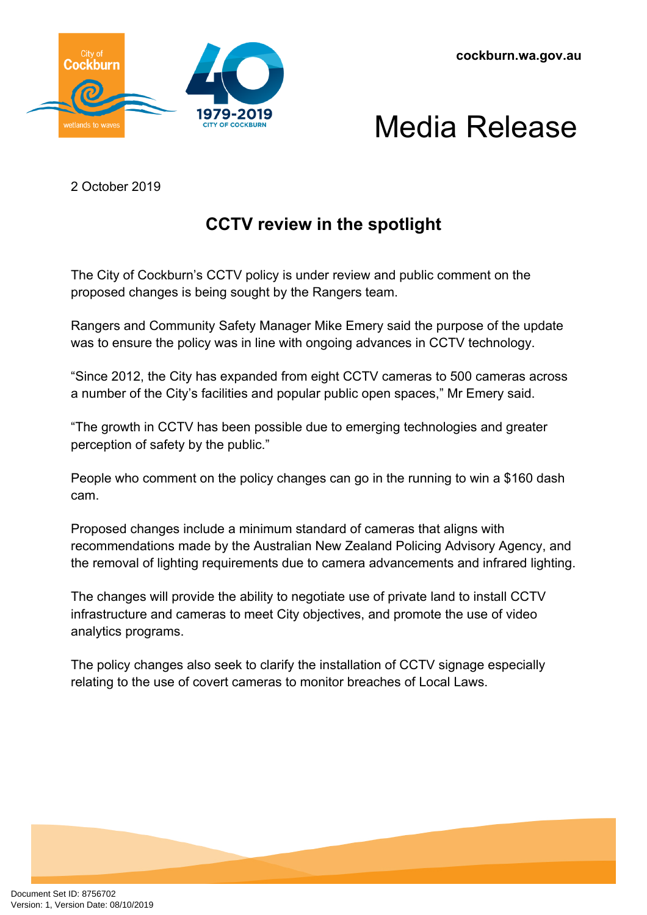



2 October 2019

## **CCTV review in the spotlight**

The City of Cockburn's CCTV policy is under review and public comment on the proposed changes is being sought by the Rangers team.

Rangers and Community Safety Manager Mike Emery said the purpose of the update was to ensure the policy was in line with ongoing advances in CCTV technology.

"Since 2012, the City has expanded from eight CCTV cameras to 500 cameras across a number of the City's facilities and popular public open spaces," Mr Emery said.

"The growth in CCTV has been possible due to emerging technologies and greater perception of safety by the public."

People who comment on the policy changes can go in the running to win a \$160 dash cam.

Proposed changes include a minimum standard of cameras that aligns with recommendations made by the Australian New Zealand Policing Advisory Agency, and the removal of lighting requirements due to camera advancements and infrared lighting.

The changes will provide the ability to negotiate use of private land to install CCTV infrastructure and cameras to meet City objectives, and promote the use of video analytics programs.

The policy changes also seek to clarify the installation of CCTV signage especially relating to the use of covert cameras to monitor breaches of Local Laws.